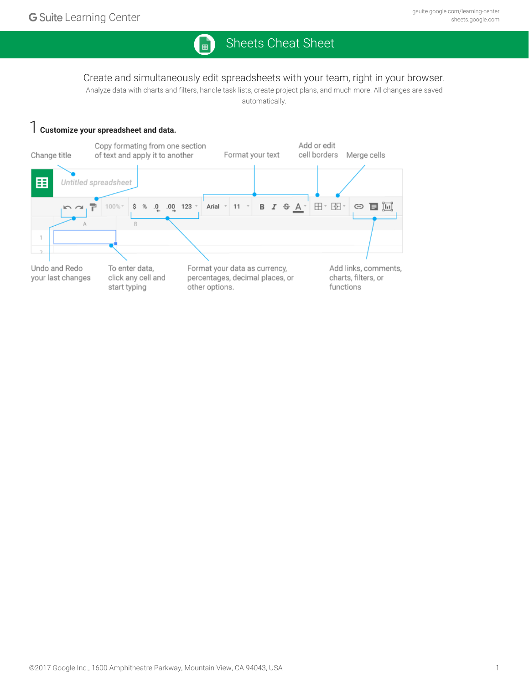#### Sheets Cheat Sheet |⊞

### Create and simultaneously edit spreadsheets with your team, right in your browser.

Analyze data with charts and filters, handle task lists, create project plans, and much more. All changes are saved automatically.

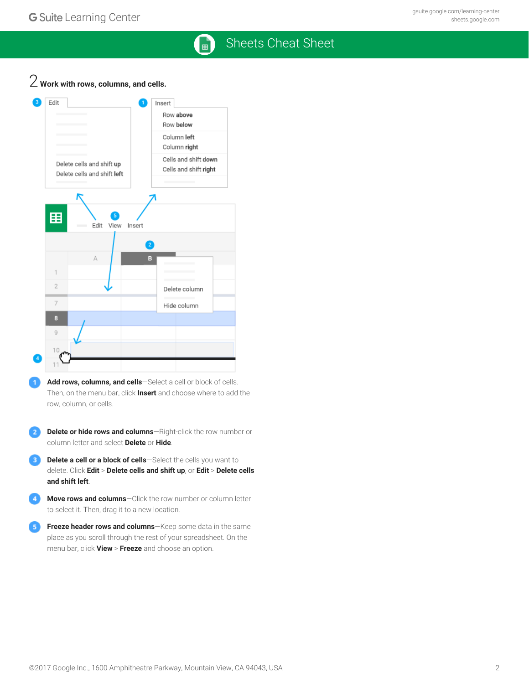## Sheets Cheat Sheet

画

2 **Work with rows, columns, and cells.**



- **Add rows, columns, and cells**—Select a cell or block of cells. Then, on the menu bar, click **Insert** and choose where to add the row, column, or cells.
- **Delete or hide rows and columns**—Right-click the row number or column letter and select **Delete** or **Hide**.
- **Delete a cell or a block of cells**—Select the cells you want to delete. Click **Edit** > **Delete cells and shift up**, or **Edit** > **Delete cells and shift left**.
- **Move rows and columns**—Click the row number or column letter  $\overline{4}$ to select it. Then, drag it to a new location.
- 5 **Freeze header rows and columns**—Keep some data in the same place as you scroll through the rest of your spreadsheet. On the menu bar, click **View** > **Freeze** and choose an option.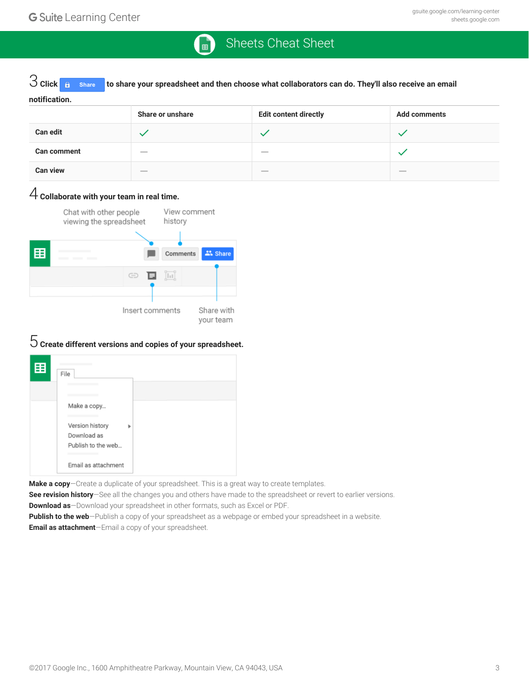#### Sheets Cheat Sheet |⊞

| $\Im$ Click $\Box$ share to share your spreadsheet and then choose what collaborators can do. They'll also receive an email |                          |                              |                     |  |  |  |
|-----------------------------------------------------------------------------------------------------------------------------|--------------------------|------------------------------|---------------------|--|--|--|
| notification.                                                                                                               |                          |                              |                     |  |  |  |
|                                                                                                                             | Share or unshare         | <b>Edit content directly</b> | <b>Add comments</b> |  |  |  |
| <b>Can edit</b>                                                                                                             |                          |                              | $\checkmark$        |  |  |  |
| <b>Can comment</b>                                                                                                          | <b>Contract Contract</b> | $\sim$                       |                     |  |  |  |
| <b>Can view</b>                                                                                                             | $\sim$                   | $\qquad \qquad$              | $\sim$              |  |  |  |

# 4 **Collaborate with your team in real time.**



# 5 **Create different versions and copies of your spreadsheet.**

| File                                                      |  |
|-----------------------------------------------------------|--|
|                                                           |  |
| Make a copy                                               |  |
| Version history<br>ь<br>Download as<br>Publish to the web |  |
| Email as attachment                                       |  |

**Make a copy**—Create a duplicate of your spreadsheet. This is a great way to create templates.

**See revision history**—See all the changes you and others have made to the spreadsheet or revert to earlier versions. **Download as**—Download your spreadsheet in other formats, such as Excel or PDF.

**Publish to the web**—Publish a copy of your spreadsheet as a webpage or embed your spreadsheet in a website. **Email as attachment**—Email a copy of your spreadsheet.